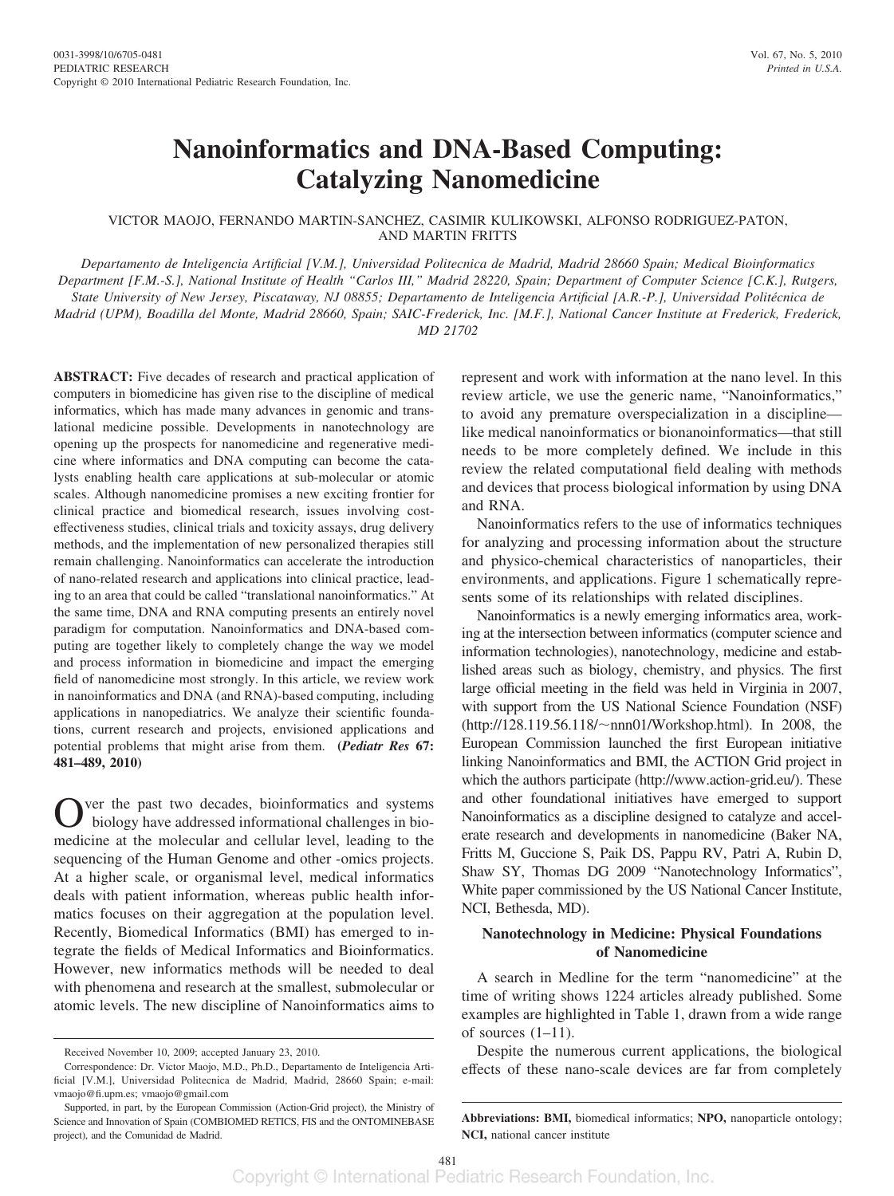# **Nanoinformatics and DNA-Based Computing: Catalyzing Nanomedicine**

## VICTOR MAOJO, FERNANDO MARTIN-SANCHEZ, CASIMIR KULIKOWSKI, ALFONSO RODRIGUEZ-PATON, AND MARTIN FRITTS

*Departamento de Inteligencia Artificial [V.M.], Universidad Politecnica de Madrid, Madrid 28660 Spain; Medical Bioinformatics Department [F.M.-S.], National Institute of Health "Carlos III," Madrid 28220, Spain; Department of Computer Science [C.K.], Rutgers,* State University of New Jersey, Piscataway, NJ 08855; Departamento de Inteligencia Artificial [A.R.-P.], Universidad Politécnica de *Madrid (UPM), Boadilla del Monte, Madrid 28660, Spain; SAIC-Frederick, Inc. [M.F.], National Cancer Institute at Frederick, Frederick, MD 21702*

**ABSTRACT:** Five decades of research and practical application of computers in biomedicine has given rise to the discipline of medical informatics, which has made many advances in genomic and translational medicine possible. Developments in nanotechnology are opening up the prospects for nanomedicine and regenerative medicine where informatics and DNA computing can become the catalysts enabling health care applications at sub-molecular or atomic scales. Although nanomedicine promises a new exciting frontier for clinical practice and biomedical research, issues involving costeffectiveness studies, clinical trials and toxicity assays, drug delivery methods, and the implementation of new personalized therapies still remain challenging. Nanoinformatics can accelerate the introduction of nano-related research and applications into clinical practice, leading to an area that could be called "translational nanoinformatics." At the same time, DNA and RNA computing presents an entirely novel paradigm for computation. Nanoinformatics and DNA-based computing are together likely to completely change the way we model and process information in biomedicine and impact the emerging field of nanomedicine most strongly. In this article, we review work in nanoinformatics and DNA (and RNA)-based computing, including applications in nanopediatrics. We analyze their scientific foundations, current research and projects, envisioned applications and potential problems that might arise from them. **(***Pediatr Res* **67: 481–489, 2010)**

ver the past two decades, bioinformatics and systems biology have addressed informational challenges in biomedicine at the molecular and cellular level, leading to the sequencing of the Human Genome and other -omics projects. At a higher scale, or organismal level, medical informatics deals with patient information, whereas public health informatics focuses on their aggregation at the population level. Recently, Biomedical Informatics (BMI) has emerged to integrate the fields of Medical Informatics and Bioinformatics. However, new informatics methods will be needed to deal with phenomena and research at the smallest, submolecular or atomic levels. The new discipline of Nanoinformatics aims to represent and work with information at the nano level. In this review article, we use the generic name, "Nanoinformatics," to avoid any premature overspecialization in a discipline like medical nanoinformatics or bionanoinformatics—that still needs to be more completely defined. We include in this review the related computational field dealing with methods and devices that process biological information by using DNA and RNA.

Nanoinformatics refers to the use of informatics techniques for analyzing and processing information about the structure and physico-chemical characteristics of nanoparticles, their environments, and applications. Figure 1 schematically represents some of its relationships with related disciplines.

Nanoinformatics is a newly emerging informatics area, working at the intersection between informatics (computer science and information technologies), nanotechnology, medicine and established areas such as biology, chemistry, and physics. The first large official meeting in the field was held in Virginia in 2007, with support from the US National Science Foundation (NSF)  $(http://128.119.56.118/\sim$ nnn01/Workshop.html). In 2008, the European Commission launched the first European initiative linking Nanoinformatics and BMI, the ACTION Grid project in which the authors participate (http://www.action-grid.eu/). These and other foundational initiatives have emerged to support Nanoinformatics as a discipline designed to catalyze and accelerate research and developments in nanomedicine (Baker NA, Fritts M, Guccione S, Paik DS, Pappu RV, Patri A, Rubin D, Shaw SY, Thomas DG 2009 "Nanotechnology Informatics", White paper commissioned by the US National Cancer Institute, NCI, Bethesda, MD).

# **Nanotechnology in Medicine: Physical Foundations of Nanomedicine**

Received November 10, 2009; accepted January 23, 2010.

Correspondence: Dr. Victor Maojo, M.D., Ph.D., Departamento de Inteligencia Artificial [V.M.], Universidad Politecnica de Madrid, Madrid, 28660 Spain; e-mail: vmaojo@fi.upm.es; vmaojo@gmail.com

Supported, in part, by the European Commission (Action-Grid project), the Ministry of Science and Innovation of Spain (COMBIOMED RETICS, FIS and the ONTOMINEBASE project), and the Comunidad de Madrid.

A search in Medline for the term "nanomedicine" at the time of writing shows 1224 articles already published. Some examples are highlighted in Table 1, drawn from a wide range of sources  $(1-11)$ .

Despite the numerous current applications, the biological effects of these nano-scale devices are far from completely

**Abbreviations: BMI,** biomedical informatics; **NPO,** nanoparticle ontology; **NCI,** national cancer institute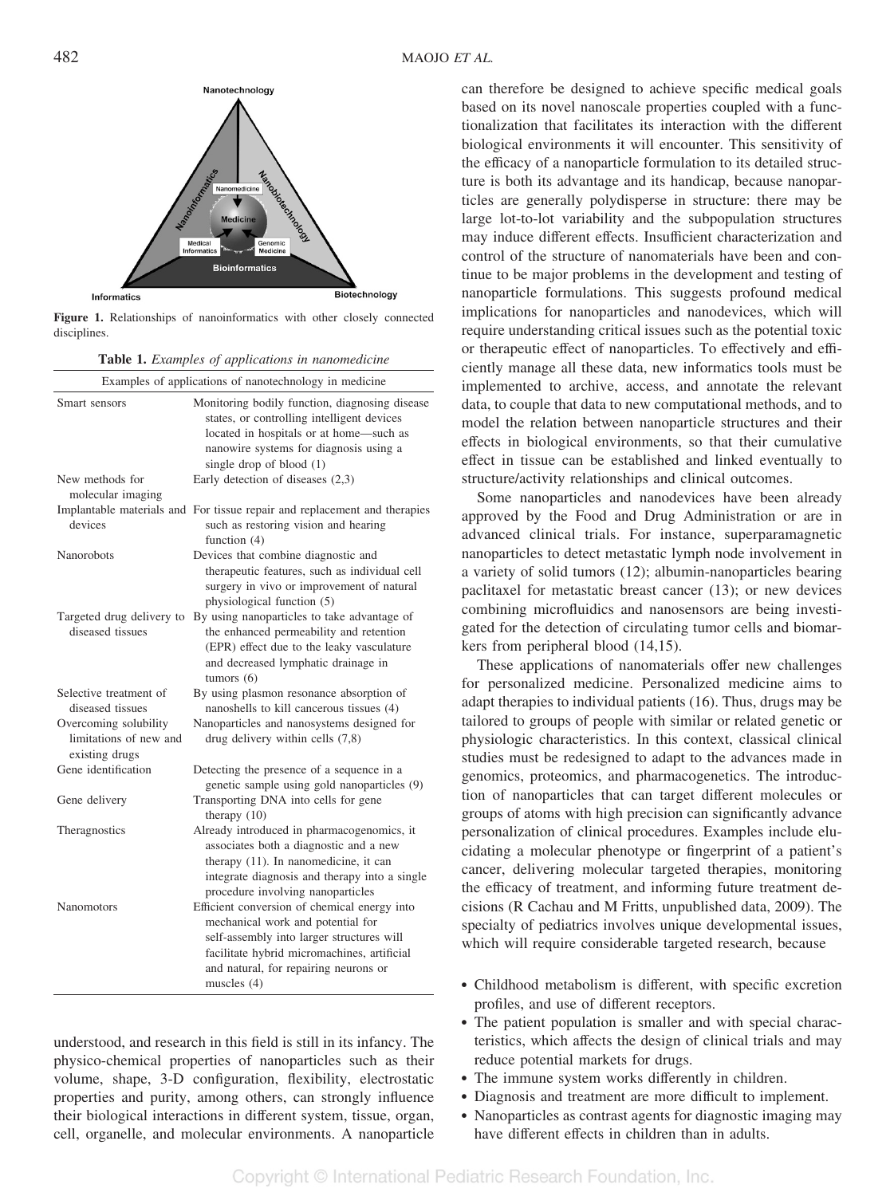

**Figure 1.** Relationships of nanoinformatics with other closely connected disciplines.

|  | Table 1. Examples of applications in nanomedicine |  |  |  |
|--|---------------------------------------------------|--|--|--|
|  |                                                   |  |  |  |

| Examples of applications of nanotechnology in medicine            |                                                                                                                                                                                                                                       |  |  |  |  |  |
|-------------------------------------------------------------------|---------------------------------------------------------------------------------------------------------------------------------------------------------------------------------------------------------------------------------------|--|--|--|--|--|
| Smart sensors                                                     | Monitoring bodily function, diagnosing disease<br>states, or controlling intelligent devices<br>located in hospitals or at home-such as<br>nanowire systems for diagnosis using a<br>single drop of blood (1)                         |  |  |  |  |  |
| New methods for<br>molecular imaging                              | Early detection of diseases (2,3)                                                                                                                                                                                                     |  |  |  |  |  |
| devices                                                           | Implantable materials and For tissue repair and replacement and therapies<br>such as restoring vision and hearing<br>function (4)                                                                                                     |  |  |  |  |  |
| Nanorobots                                                        | Devices that combine diagnostic and<br>therapeutic features, such as individual cell<br>surgery in vivo or improvement of natural<br>physiological function (5)                                                                       |  |  |  |  |  |
| Targeted drug delivery to<br>diseased tissues                     | By using nanoparticles to take advantage of<br>the enhanced permeability and retention<br>(EPR) effect due to the leaky vasculature<br>and decreased lymphatic drainage in<br>tumors $(6)$                                            |  |  |  |  |  |
| Selective treatment of<br>diseased tissues                        | By using plasmon resonance absorption of<br>nanoshells to kill cancerous tissues (4)                                                                                                                                                  |  |  |  |  |  |
| Overcoming solubility<br>limitations of new and<br>existing drugs | Nanoparticles and nanosystems designed for<br>drug delivery within cells (7,8)                                                                                                                                                        |  |  |  |  |  |
| Gene identification                                               | Detecting the presence of a sequence in a<br>genetic sample using gold nanoparticles (9)                                                                                                                                              |  |  |  |  |  |
| Gene delivery                                                     | Transporting DNA into cells for gene<br>therapy $(10)$                                                                                                                                                                                |  |  |  |  |  |
| Theragnostics                                                     | Already introduced in pharmacogenomics, it<br>associates both a diagnostic and a new<br>therapy (11). In nanomedicine, it can<br>integrate diagnosis and therapy into a single<br>procedure involving nanoparticles                   |  |  |  |  |  |
| Nanomotors                                                        | Efficient conversion of chemical energy into<br>mechanical work and potential for<br>self-assembly into larger structures will<br>facilitate hybrid micromachines, artificial<br>and natural, for repairing neurons or<br>muscles (4) |  |  |  |  |  |

understood, and research in this field is still in its infancy. The physico-chemical properties of nanoparticles such as their volume, shape, 3-D configuration, flexibility, electrostatic properties and purity, among others, can strongly influence their biological interactions in different system, tissue, organ, cell, organelle, and molecular environments. A nanoparticle can therefore be designed to achieve specific medical goals based on its novel nanoscale properties coupled with a functionalization that facilitates its interaction with the different biological environments it will encounter. This sensitivity of the efficacy of a nanoparticle formulation to its detailed structure is both its advantage and its handicap, because nanoparticles are generally polydisperse in structure: there may be large lot-to-lot variability and the subpopulation structures may induce different effects. Insufficient characterization and control of the structure of nanomaterials have been and continue to be major problems in the development and testing of nanoparticle formulations. This suggests profound medical implications for nanoparticles and nanodevices, which will require understanding critical issues such as the potential toxic or therapeutic effect of nanoparticles. To effectively and efficiently manage all these data, new informatics tools must be implemented to archive, access, and annotate the relevant data, to couple that data to new computational methods, and to model the relation between nanoparticle structures and their effects in biological environments, so that their cumulative effect in tissue can be established and linked eventually to structure/activity relationships and clinical outcomes.

Some nanoparticles and nanodevices have been already approved by the Food and Drug Administration or are in advanced clinical trials. For instance, superparamagnetic nanoparticles to detect metastatic lymph node involvement in a variety of solid tumors (12); albumin-nanoparticles bearing paclitaxel for metastatic breast cancer (13); or new devices combining microfluidics and nanosensors are being investigated for the detection of circulating tumor cells and biomarkers from peripheral blood (14,15).

These applications of nanomaterials offer new challenges for personalized medicine. Personalized medicine aims to adapt therapies to individual patients (16). Thus, drugs may be tailored to groups of people with similar or related genetic or physiologic characteristics. In this context, classical clinical studies must be redesigned to adapt to the advances made in genomics, proteomics, and pharmacogenetics. The introduction of nanoparticles that can target different molecules or groups of atoms with high precision can significantly advance personalization of clinical procedures. Examples include elucidating a molecular phenotype or fingerprint of a patient's cancer, delivering molecular targeted therapies, monitoring the efficacy of treatment, and informing future treatment decisions (R Cachau and M Fritts, unpublished data, 2009). The specialty of pediatrics involves unique developmental issues, which will require considerable targeted research, because

- Childhood metabolism is different, with specific excretion profiles, and use of different receptors.
- The patient population is smaller and with special characteristics, which affects the design of clinical trials and may reduce potential markets for drugs.
- The immune system works differently in children.
- Diagnosis and treatment are more difficult to implement.
- Nanoparticles as contrast agents for diagnostic imaging may have different effects in children than in adults.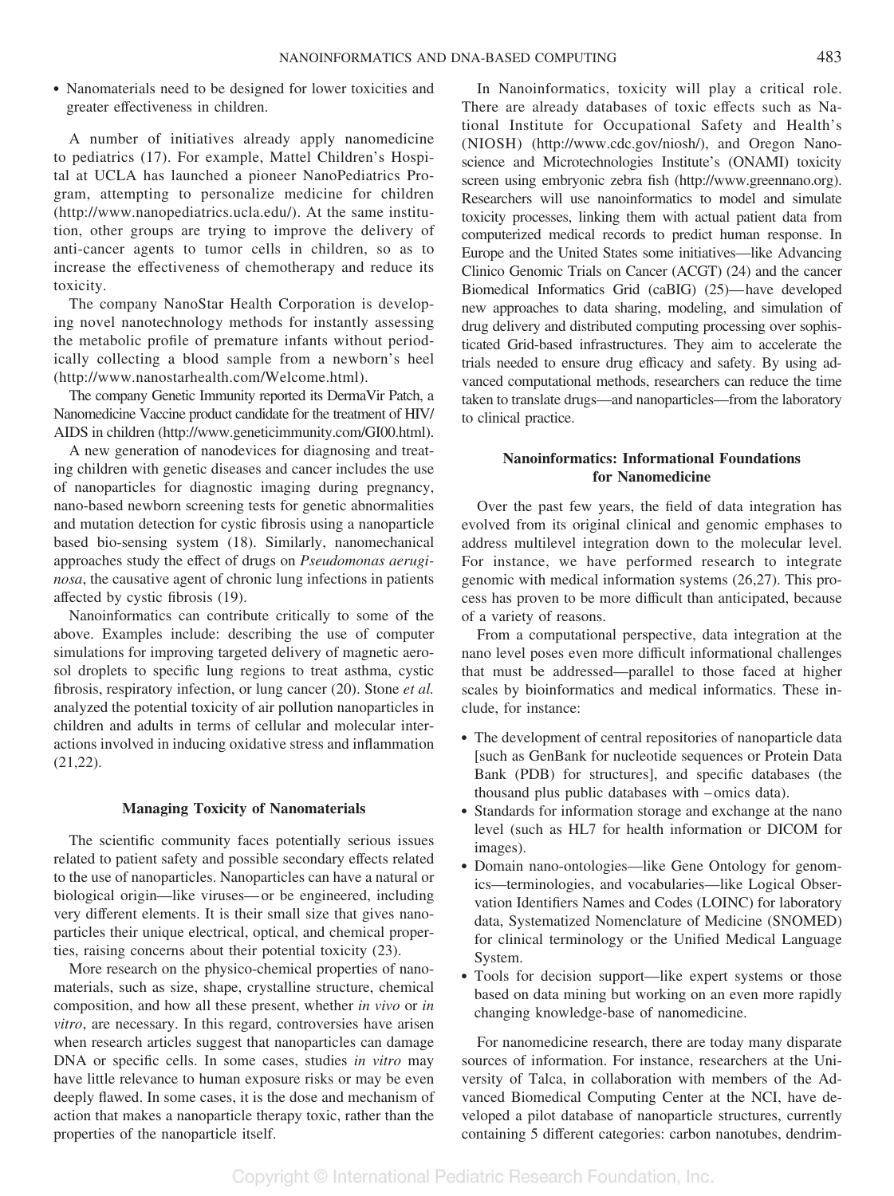• Nanomaterials need to be designed for lower toxicities and greater effectiveness in children.

A number of initiatives already apply nanomedicine to pediatrics (17). For example, Mattel Children's Hospital at UCLA has launched a pioneer NanoPediatrics Program, attempting to personalize medicine for children (http://www.nanopediatrics.ucla.edu/). At the same institution, other groups are trying to improve the delivery of anti-cancer agents to tumor cells in children, so as to increase the effectiveness of chemotherapy and reduce its toxicity.

The company NanoStar Health Corporation is developing novel nanotechnology methods for instantly assessing the metabolic profile of premature infants without periodically collecting a blood sample from a newborn's heel (http://www.nanostarhealth.com/Welcome.html).

The company Genetic Immunity reported its DermaVir Patch, a Nanomedicine Vaccine product candidate for the treatment of HIV/ AIDS in children (http://www.geneticimmunity.com/GI00.html).

A new generation of nanodevices for diagnosing and treating children with genetic diseases and cancer includes the use of nanoparticles for diagnostic imaging during pregnancy, nano-based newborn screening tests for genetic abnormalities and mutation detection for cystic fibrosis using a nanoparticle based bio-sensing system (18). Similarly, nanomechanical approaches study the effect of drugs on *Pseudomonas aeruginosa*, the causative agent of chronic lung infections in patients affected by cystic fibrosis (19).

Nanoinformatics can contribute critically to some of the above. Examples include: describing the use of computer simulations for improving targeted delivery of magnetic aerosol droplets to specific lung regions to treat asthma, cystic fibrosis, respiratory infection, or lung cancer (20). Stone *et al.* analyzed the potential toxicity of air pollution nanoparticles in children and adults in terms of cellular and molecular interactions involved in inducing oxidative stress and inflammation (21,22).

#### **Managing Toxicity of Nanomaterials**

The scientific community faces potentially serious issues related to patient safety and possible secondary effects related to the use of nanoparticles. Nanoparticles can have a natural or biological origin—like viruses—or be engineered, including very different elements. It is their small size that gives nanoparticles their unique electrical, optical, and chemical properties, raising concerns about their potential toxicity (23).

More research on the physico-chemical properties of nanomaterials, such as size, shape, crystalline structure, chemical composition, and how all these present, whether *in vivo* or *in vitro*, are necessary. In this regard, controversies have arisen when research articles suggest that nanoparticles can damage DNA or specific cells. In some cases, studies *in vitro* may have little relevance to human exposure risks or may be even deeply flawed. In some cases, it is the dose and mechanism of action that makes a nanoparticle therapy toxic, rather than the properties of the nanoparticle itself.

In Nanoinformatics, toxicity will play a critical role. There are already databases of toxic effects such as National Institute for Occupational Safety and Health's (NIOSH) (http://www.cdc.gov/niosh/), and Oregon Nanoscience and Microtechnologies Institute's (ONAMI) toxicity screen using embryonic zebra fish (http://www.greennano.org). Researchers will use nanoinformatics to model and simulate toxicity processes, linking them with actual patient data from computerized medical records to predict human response. In Europe and the United States some initiatives—like Advancing Clinico Genomic Trials on Cancer (ACGT) (24) and the cancer Biomedical Informatics Grid (caBIG) (25)—have developed new approaches to data sharing, modeling, and simulation of drug delivery and distributed computing processing over sophisticated Grid-based infrastructures. They aim to accelerate the trials needed to ensure drug efficacy and safety. By using advanced computational methods, researchers can reduce the time taken to translate drugs—and nanoparticles—from the laboratory to clinical practice.

# **Nanoinformatics: Informational Foundations for Nanomedicine**

Over the past few years, the field of data integration has evolved from its original clinical and genomic emphases to address multilevel integration down to the molecular level. For instance, we have performed research to integrate genomic with medical information systems (26,27). This process has proven to be more difficult than anticipated, because of a variety of reasons.

From a computational perspective, data integration at the nano level poses even more difficult informational challenges that must be addressed—parallel to those faced at higher scales by bioinformatics and medical informatics. These include, for instance:

- The development of central repositories of nanoparticle data [such as GenBank for nucleotide sequences or Protein Data Bank (PDB) for structures], and specific databases (the thousand plus public databases with –omics data).
- Standards for information storage and exchange at the nano level (such as HL7 for health information or DICOM for images).
- Domain nano-ontologies—like Gene Ontology for genomics—terminologies, and vocabularies—like Logical Observation Identifiers Names and Codes (LOINC) for laboratory data, Systematized Nomenclature of Medicine (SNOMED) for clinical terminology or the Unified Medical Language System.
- Tools for decision support—like expert systems or those based on data mining but working on an even more rapidly changing knowledge-base of nanomedicine.

For nanomedicine research, there are today many disparate sources of information. For instance, researchers at the University of Talca, in collaboration with members of the Advanced Biomedical Computing Center at the NCI, have developed a pilot database of nanoparticle structures, currently containing 5 different categories: carbon nanotubes, dendrim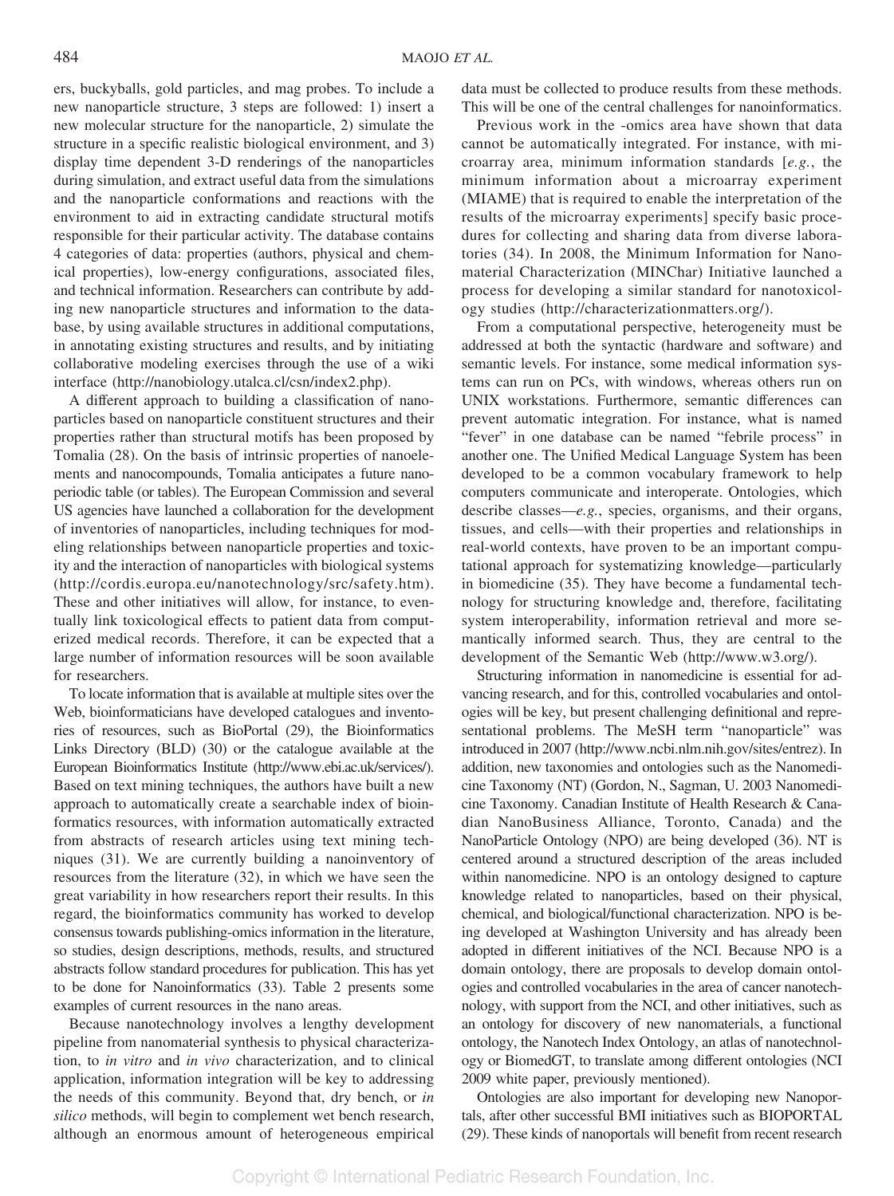ers, buckyballs, gold particles, and mag probes. To include a new nanoparticle structure, 3 steps are followed: 1) insert a new molecular structure for the nanoparticle, 2) simulate the structure in a specific realistic biological environment, and 3) display time dependent 3-D renderings of the nanoparticles during simulation, and extract useful data from the simulations and the nanoparticle conformations and reactions with the environment to aid in extracting candidate structural motifs responsible for their particular activity. The database contains 4 categories of data: properties (authors, physical and chemical properties), low-energy configurations, associated files, and technical information. Researchers can contribute by adding new nanoparticle structures and information to the database, by using available structures in additional computations, in annotating existing structures and results, and by initiating collaborative modeling exercises through the use of a wiki interface (http://nanobiology.utalca.cl/csn/index2.php).

A different approach to building a classification of nanoparticles based on nanoparticle constituent structures and their properties rather than structural motifs has been proposed by Tomalia (28). On the basis of intrinsic properties of nanoelements and nanocompounds, Tomalia anticipates a future nanoperiodic table (or tables). The European Commission and several US agencies have launched a collaboration for the development of inventories of nanoparticles, including techniques for modeling relationships between nanoparticle properties and toxicity and the interaction of nanoparticles with biological systems (http://cordis.europa.eu/nanotechnology/src/safety.htm). These and other initiatives will allow, for instance, to eventually link toxicological effects to patient data from computerized medical records. Therefore, it can be expected that a large number of information resources will be soon available for researchers.

To locate information that is available at multiple sites over the Web, bioinformaticians have developed catalogues and inventories of resources, such as BioPortal (29), the Bioinformatics Links Directory (BLD) (30) or the catalogue available at the European Bioinformatics Institute (http://www.ebi.ac.uk/services/). Based on text mining techniques, the authors have built a new approach to automatically create a searchable index of bioinformatics resources, with information automatically extracted from abstracts of research articles using text mining techniques (31). We are currently building a nanoinventory of resources from the literature (32), in which we have seen the great variability in how researchers report their results. In this regard, the bioinformatics community has worked to develop consensus towards publishing-omics information in the literature, so studies, design descriptions, methods, results, and structured abstracts follow standard procedures for publication. This has yet to be done for Nanoinformatics (33). Table 2 presents some examples of current resources in the nano areas.

Because nanotechnology involves a lengthy development pipeline from nanomaterial synthesis to physical characterization, to *in vitro* and *in vivo* characterization, and to clinical application, information integration will be key to addressing the needs of this community. Beyond that, dry bench, or *in silico* methods, will begin to complement wet bench research, although an enormous amount of heterogeneous empirical data must be collected to produce results from these methods. This will be one of the central challenges for nanoinformatics.

Previous work in the -omics area have shown that data cannot be automatically integrated. For instance, with microarray area, minimum information standards [*e.g.*, the minimum information about a microarray experiment (MIAME) that is required to enable the interpretation of the results of the microarray experiments] specify basic procedures for collecting and sharing data from diverse laboratories (34). In 2008, the Minimum Information for Nanomaterial Characterization (MINChar) Initiative launched a process for developing a similar standard for nanotoxicology studies (http://characterizationmatters.org/).

From a computational perspective, heterogeneity must be addressed at both the syntactic (hardware and software) and semantic levels. For instance, some medical information systems can run on PCs, with windows, whereas others run on UNIX workstations. Furthermore, semantic differences can prevent automatic integration. For instance, what is named "fever" in one database can be named "febrile process" in another one. The Unified Medical Language System has been developed to be a common vocabulary framework to help computers communicate and interoperate. Ontologies, which describe classes—*e.g.*, species, organisms, and their organs, tissues, and cells—with their properties and relationships in real-world contexts, have proven to be an important computational approach for systematizing knowledge—particularly in biomedicine (35). They have become a fundamental technology for structuring knowledge and, therefore, facilitating system interoperability, information retrieval and more semantically informed search. Thus, they are central to the development of the Semantic Web (http://www.w3.org/).

Structuring information in nanomedicine is essential for advancing research, and for this, controlled vocabularies and ontologies will be key, but present challenging definitional and representational problems. The MeSH term "nanoparticle" was introduced in 2007 (http://www.ncbi.nlm.nih.gov/sites/entrez). In addition, new taxonomies and ontologies such as the Nanomedicine Taxonomy (NT) (Gordon, N., Sagman, U. 2003 Nanomedicine Taxonomy. Canadian Institute of Health Research & Canadian NanoBusiness Alliance, Toronto, Canada) and the NanoParticle Ontology (NPO) are being developed (36). NT is centered around a structured description of the areas included within nanomedicine. NPO is an ontology designed to capture knowledge related to nanoparticles, based on their physical, chemical, and biological/functional characterization. NPO is being developed at Washington University and has already been adopted in different initiatives of the NCI. Because NPO is a domain ontology, there are proposals to develop domain ontologies and controlled vocabularies in the area of cancer nanotechnology, with support from the NCI, and other initiatives, such as an ontology for discovery of new nanomaterials, a functional ontology, the Nanotech Index Ontology, an atlas of nanotechnology or BiomedGT, to translate among different ontologies (NCI 2009 white paper, previously mentioned).

Ontologies are also important for developing new Nanoportals, after other successful BMI initiatives such as BIOPORTAL (29). These kinds of nanoportals will benefit from recent research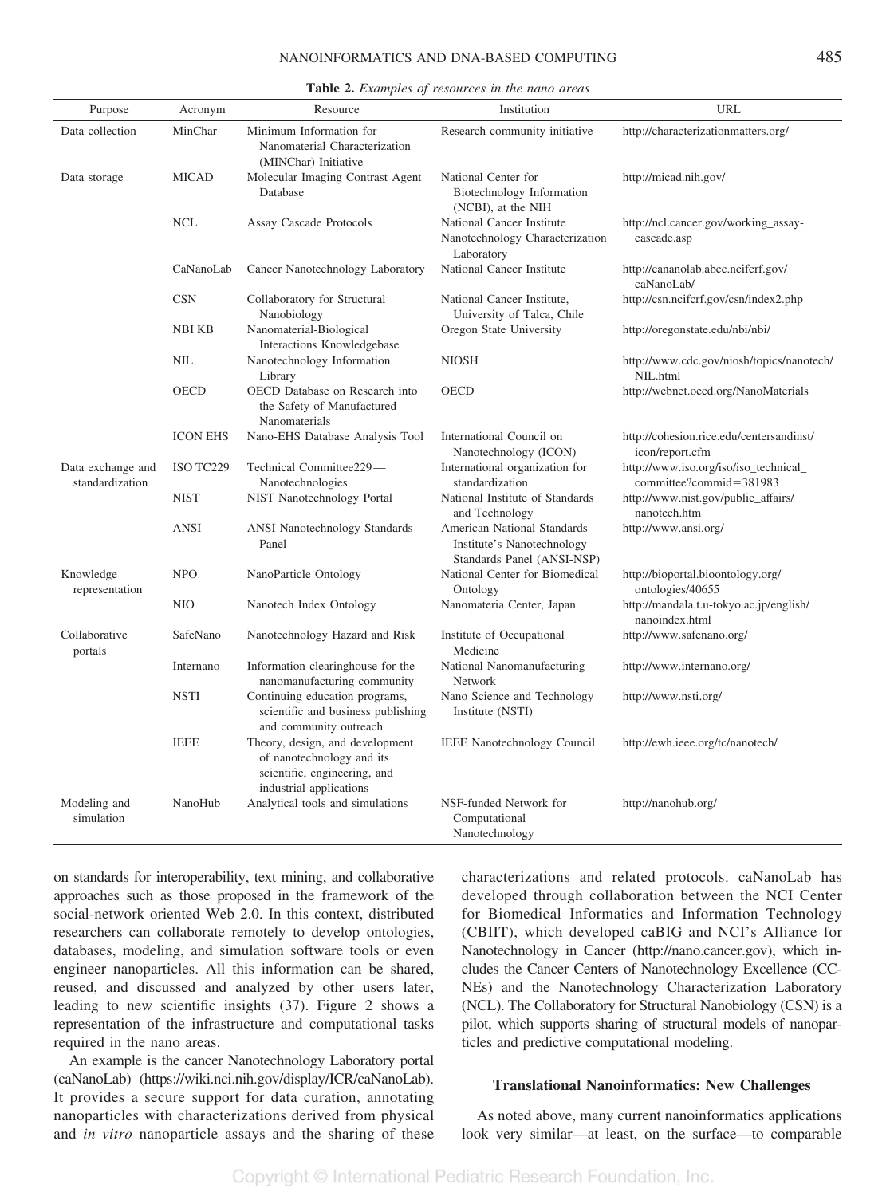## NANOINFORMATICS AND DNA-BASED COMPUTING 485

| Purpose                              | Acronym         | Resource                                                                                                                | Institution                                                                             | <b>URL</b>                                                       |
|--------------------------------------|-----------------|-------------------------------------------------------------------------------------------------------------------------|-----------------------------------------------------------------------------------------|------------------------------------------------------------------|
| Data collection                      | MinChar         | Minimum Information for<br>Nanomaterial Characterization<br>(MINChar) Initiative                                        | Research community initiative                                                           | http://characterizationmatters.org/                              |
| Data storage                         | <b>MICAD</b>    | Molecular Imaging Contrast Agent<br>Database                                                                            | National Center for<br>Biotechnology Information<br>(NCBI), at the NIH                  | http://micad.nih.gov/                                            |
|                                      | <b>NCL</b>      | Assay Cascade Protocols                                                                                                 | National Cancer Institute<br>Nanotechnology Characterization<br>Laboratory              | http://ncl.cancer.gov/working_assay-<br>cascade.asp              |
|                                      | CaNanoLab       | Cancer Nanotechnology Laboratory                                                                                        | National Cancer Institute                                                               | http://cananolab.abcc.ncifcrf.gov/<br>caNanoLab/                 |
|                                      | <b>CSN</b>      | Collaboratory for Structural<br>Nanobiology                                                                             | National Cancer Institute,<br>University of Talca, Chile                                | http://csn.ncifcrf.gov/csn/index2.php                            |
|                                      | <b>NBI KB</b>   | Nanomaterial-Biological<br>Interactions Knowledgebase                                                                   | Oregon State University                                                                 | http://oregonstate.edu/nbi/nbi/                                  |
|                                      | <b>NIL</b>      | Nanotechnology Information<br>Library                                                                                   | <b>NIOSH</b>                                                                            | http://www.cdc.gov/niosh/topics/nanotech/<br>NIL.html            |
|                                      | <b>OECD</b>     | OECD Database on Research into<br>the Safety of Manufactured<br>Nanomaterials                                           | <b>OECD</b>                                                                             | http://webnet.oecd.org/NanoMaterials                             |
|                                      | <b>ICON EHS</b> | Nano-EHS Database Analysis Tool                                                                                         | International Council on<br>Nanotechnology (ICON)                                       | http://cohesion.rice.edu/centersandinst/<br>icon/report.cfm      |
| Data exchange and<br>standardization | ISO TC229       | Technical Committee229-<br>Nanotechnologies                                                                             | International organization for<br>standardization                                       | http://www.iso.org/iso/iso_technical_<br>committee?commid=381983 |
|                                      | <b>NIST</b>     | NIST Nanotechnology Portal                                                                                              | National Institute of Standards<br>and Technology                                       | http://www.nist.gov/public_affairs/<br>nanotech.htm              |
|                                      | <b>ANSI</b>     | <b>ANSI Nanotechnology Standards</b><br>Panel                                                                           | American National Standards<br>Institute's Nanotechnology<br>Standards Panel (ANSI-NSP) | http://www.ansi.org/                                             |
| Knowledge<br>representation          | <b>NPO</b>      | NanoParticle Ontology                                                                                                   | National Center for Biomedical<br>Ontology                                              | http://bioportal.bioontology.org/<br>ontologies/40655            |
|                                      | <b>NIO</b>      | Nanotech Index Ontology                                                                                                 | Nanomateria Center, Japan                                                               | http://mandala.t.u-tokyo.ac.jp/english/<br>nanoindex.html        |
| Collaborative<br>portals             | SafeNano        | Nanotechnology Hazard and Risk                                                                                          | Institute of Occupational<br>Medicine                                                   | http://www.safenano.org/                                         |
|                                      | Internano       | Information clearinghouse for the<br>nanomanufacturing community                                                        | National Nanomanufacturing<br>Network                                                   | http://www.internano.org/                                        |
|                                      | <b>NSTI</b>     | Continuing education programs,<br>scientific and business publishing<br>and community outreach                          | Nano Science and Technology<br>Institute (NSTI)                                         | http://www.nsti.org/                                             |
|                                      | <b>IEEE</b>     | Theory, design, and development<br>of nanotechnology and its<br>scientific, engineering, and<br>industrial applications | <b>IEEE</b> Nanotechnology Council                                                      | http://ewh.ieee.org/tc/nanotech/                                 |
| Modeling and<br>simulation           | NanoHub         | Analytical tools and simulations                                                                                        | NSF-funded Network for<br>Computational<br>Nanotechnology                               | http://nanohub.org/                                              |

**Table 2.** *Examples of resources in the nano areas*

on standards for interoperability, text mining, and collaborative approaches such as those proposed in the framework of the social-network oriented Web 2.0. In this context, distributed researchers can collaborate remotely to develop ontologies, databases, modeling, and simulation software tools or even engineer nanoparticles. All this information can be shared, reused, and discussed and analyzed by other users later, leading to new scientific insights (37). Figure 2 shows a representation of the infrastructure and computational tasks required in the nano areas.

An example is the cancer Nanotechnology Laboratory portal (caNanoLab) (https://wiki.nci.nih.gov/display/ICR/caNanoLab). It provides a secure support for data curation, annotating nanoparticles with characterizations derived from physical and *in vitro* nanoparticle assays and the sharing of these characterizations and related protocols. caNanoLab has developed through collaboration between the NCI Center for Biomedical Informatics and Information Technology (CBIIT), which developed caBIG and NCI's Alliance for Nanotechnology in Cancer (http://nano.cancer.gov), which includes the Cancer Centers of Nanotechnology Excellence (CC-NEs) and the Nanotechnology Characterization Laboratory (NCL). The Collaboratory for Structural Nanobiology (CSN) is a pilot, which supports sharing of structural models of nanoparticles and predictive computational modeling.

# **Translational Nanoinformatics: New Challenges**

As noted above, many current nanoinformatics applications look very similar—at least, on the surface—to comparable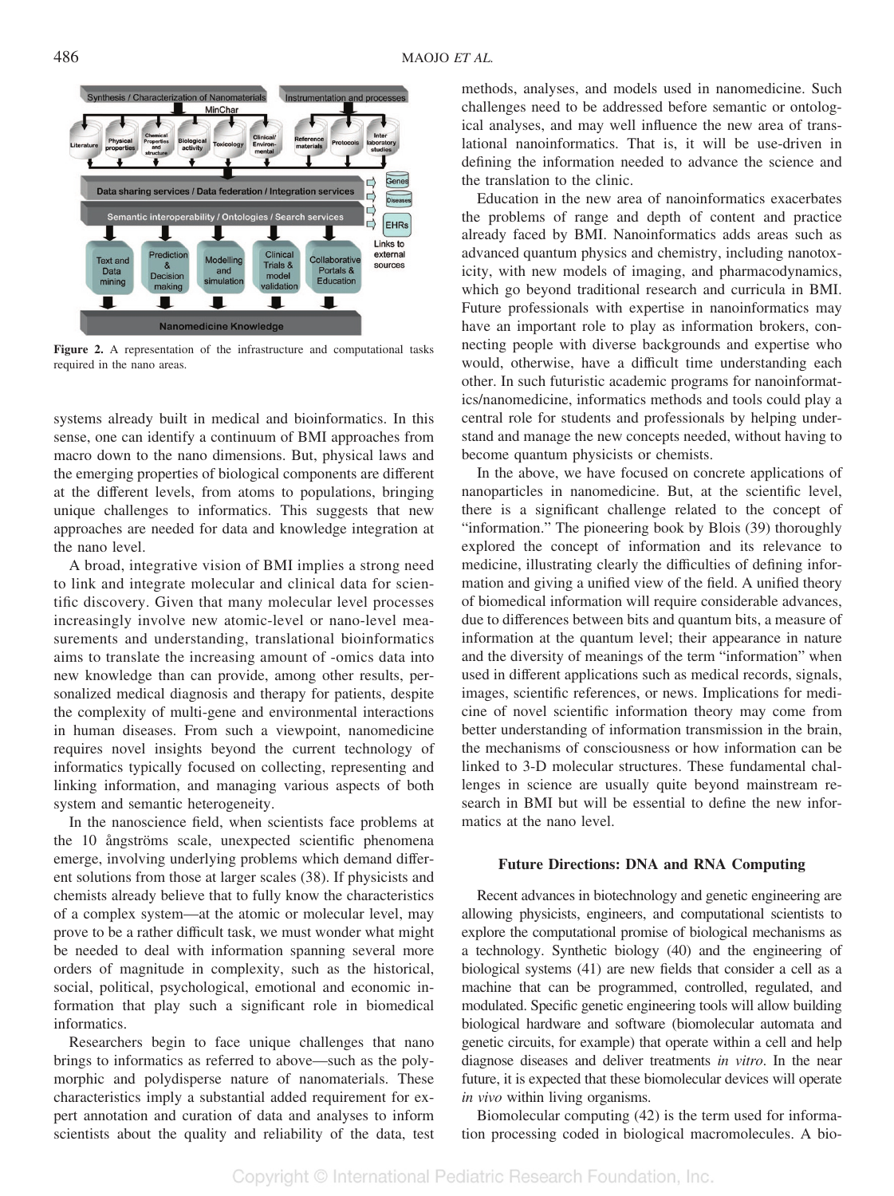

**Figure 2.** A representation of the infrastructure and computational tasks required in the nano areas.

systems already built in medical and bioinformatics. In this sense, one can identify a continuum of BMI approaches from macro down to the nano dimensions. But, physical laws and the emerging properties of biological components are different at the different levels, from atoms to populations, bringing unique challenges to informatics. This suggests that new approaches are needed for data and knowledge integration at the nano level.

A broad, integrative vision of BMI implies a strong need to link and integrate molecular and clinical data for scientific discovery. Given that many molecular level processes increasingly involve new atomic-level or nano-level measurements and understanding, translational bioinformatics aims to translate the increasing amount of -omics data into new knowledge than can provide, among other results, personalized medical diagnosis and therapy for patients, despite the complexity of multi-gene and environmental interactions in human diseases. From such a viewpoint, nanomedicine requires novel insights beyond the current technology of informatics typically focused on collecting, representing and linking information, and managing various aspects of both system and semantic heterogeneity.

In the nanoscience field, when scientists face problems at the 10 ångströms scale, unexpected scientific phenomena emerge, involving underlying problems which demand different solutions from those at larger scales (38). If physicists and chemists already believe that to fully know the characteristics of a complex system—at the atomic or molecular level, may prove to be a rather difficult task, we must wonder what might be needed to deal with information spanning several more orders of magnitude in complexity, such as the historical, social, political, psychological, emotional and economic information that play such a significant role in biomedical informatics.

Researchers begin to face unique challenges that nano brings to informatics as referred to above—such as the polymorphic and polydisperse nature of nanomaterials. These characteristics imply a substantial added requirement for expert annotation and curation of data and analyses to inform scientists about the quality and reliability of the data, test methods, analyses, and models used in nanomedicine. Such challenges need to be addressed before semantic or ontological analyses, and may well influence the new area of translational nanoinformatics. That is, it will be use-driven in defining the information needed to advance the science and the translation to the clinic.

Education in the new area of nanoinformatics exacerbates the problems of range and depth of content and practice already faced by BMI. Nanoinformatics adds areas such as advanced quantum physics and chemistry, including nanotoxicity, with new models of imaging, and pharmacodynamics, which go beyond traditional research and curricula in BMI. Future professionals with expertise in nanoinformatics may have an important role to play as information brokers, connecting people with diverse backgrounds and expertise who would, otherwise, have a difficult time understanding each other. In such futuristic academic programs for nanoinformatics/nanomedicine, informatics methods and tools could play a central role for students and professionals by helping understand and manage the new concepts needed, without having to become quantum physicists or chemists.

In the above, we have focused on concrete applications of nanoparticles in nanomedicine. But, at the scientific level, there is a significant challenge related to the concept of "information." The pioneering book by Blois (39) thoroughly explored the concept of information and its relevance to medicine, illustrating clearly the difficulties of defining information and giving a unified view of the field. A unified theory of biomedical information will require considerable advances, due to differences between bits and quantum bits, a measure of information at the quantum level; their appearance in nature and the diversity of meanings of the term "information" when used in different applications such as medical records, signals, images, scientific references, or news. Implications for medicine of novel scientific information theory may come from better understanding of information transmission in the brain, the mechanisms of consciousness or how information can be linked to 3-D molecular structures. These fundamental challenges in science are usually quite beyond mainstream research in BMI but will be essential to define the new informatics at the nano level.

## **Future Directions: DNA and RNA Computing**

Recent advances in biotechnology and genetic engineering are allowing physicists, engineers, and computational scientists to explore the computational promise of biological mechanisms as a technology. Synthetic biology (40) and the engineering of biological systems (41) are new fields that consider a cell as a machine that can be programmed, controlled, regulated, and modulated. Specific genetic engineering tools will allow building biological hardware and software (biomolecular automata and genetic circuits, for example) that operate within a cell and help diagnose diseases and deliver treatments *in vitro*. In the near future, it is expected that these biomolecular devices will operate *in vivo* within living organisms.

Biomolecular computing (42) is the term used for information processing coded in biological macromolecules. A bio-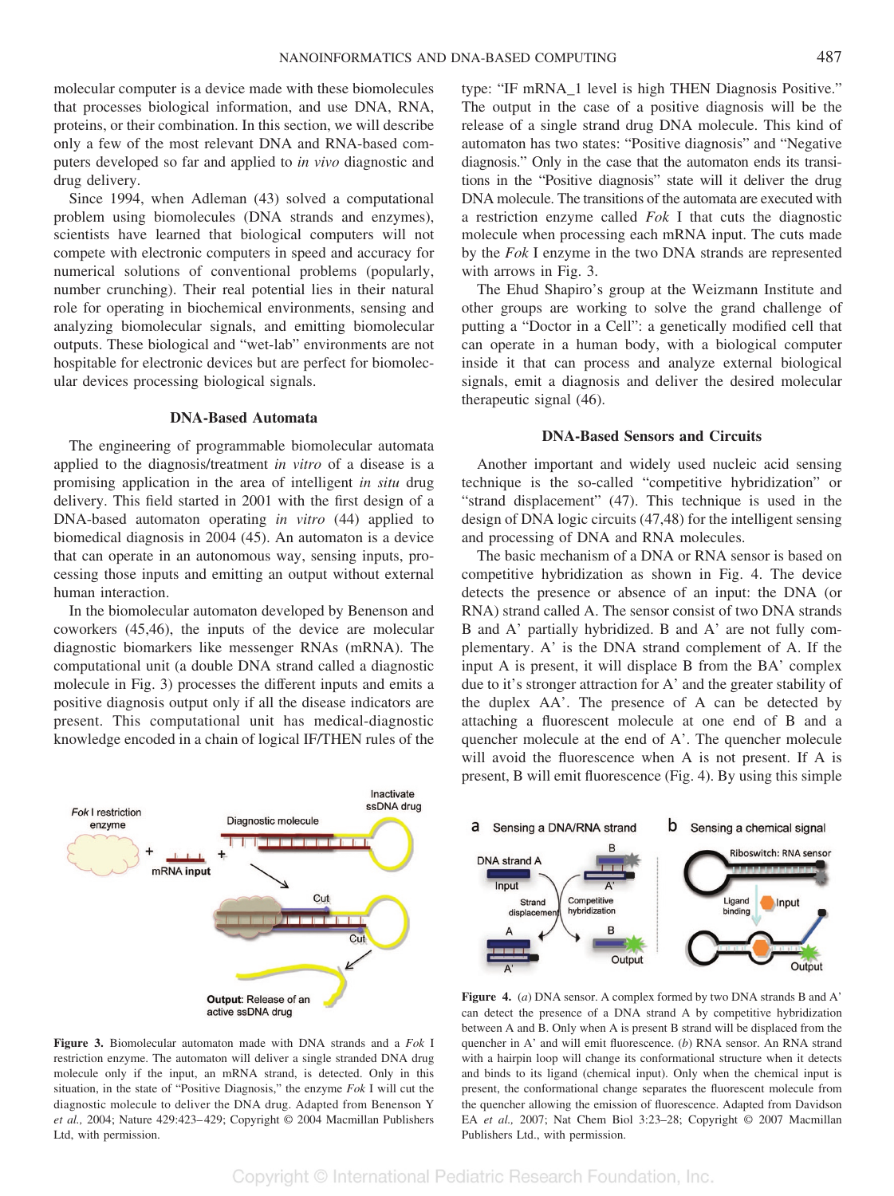molecular computer is a device made with these biomolecules that processes biological information, and use DNA, RNA, proteins, or their combination. In this section, we will describe only a few of the most relevant DNA and RNA-based computers developed so far and applied to *in vivo* diagnostic and drug delivery.

Since 1994, when Adleman (43) solved a computational problem using biomolecules (DNA strands and enzymes), scientists have learned that biological computers will not compete with electronic computers in speed and accuracy for numerical solutions of conventional problems (popularly, number crunching). Their real potential lies in their natural role for operating in biochemical environments, sensing and analyzing biomolecular signals, and emitting biomolecular outputs. These biological and "wet-lab" environments are not hospitable for electronic devices but are perfect for biomolecular devices processing biological signals.

#### **DNA-Based Automata**

The engineering of programmable biomolecular automata applied to the diagnosis/treatment *in vitro* of a disease is a promising application in the area of intelligent *in situ* drug delivery. This field started in 2001 with the first design of a DNA-based automaton operating *in vitro* (44) applied to biomedical diagnosis in 2004 (45). An automaton is a device that can operate in an autonomous way, sensing inputs, processing those inputs and emitting an output without external human interaction.

In the biomolecular automaton developed by Benenson and coworkers (45,46), the inputs of the device are molecular diagnostic biomarkers like messenger RNAs (mRNA). The computational unit (a double DNA strand called a diagnostic molecule in Fig. 3) processes the different inputs and emits a positive diagnosis output only if all the disease indicators are present. This computational unit has medical-diagnostic knowledge encoded in a chain of logical IF/THEN rules of the



**Figure 3.** Biomolecular automaton made with DNA strands and a *Fok* I restriction enzyme. The automaton will deliver a single stranded DNA drug molecule only if the input, an mRNA strand, is detected. Only in this situation, in the state of "Positive Diagnosis," the enzyme *Fok* I will cut the diagnostic molecule to deliver the DNA drug. Adapted from Benenson Y *et al.,* 2004; Nature 429:423–429; Copyright © 2004 Macmillan Publishers Ltd, with permission.

type: "IF mRNA\_1 level is high THEN Diagnosis Positive." The output in the case of a positive diagnosis will be the release of a single strand drug DNA molecule. This kind of automaton has two states: "Positive diagnosis" and "Negative diagnosis." Only in the case that the automaton ends its transitions in the "Positive diagnosis" state will it deliver the drug DNA molecule. The transitions of the automata are executed with a restriction enzyme called *Fok* I that cuts the diagnostic molecule when processing each mRNA input. The cuts made by the *Fok* I enzyme in the two DNA strands are represented with arrows in Fig. 3.

The Ehud Shapiro's group at the Weizmann Institute and other groups are working to solve the grand challenge of putting a "Doctor in a Cell": a genetically modified cell that can operate in a human body, with a biological computer inside it that can process and analyze external biological signals, emit a diagnosis and deliver the desired molecular therapeutic signal (46).

## **DNA-Based Sensors and Circuits**

Another important and widely used nucleic acid sensing technique is the so-called "competitive hybridization" or "strand displacement" (47). This technique is used in the design of DNA logic circuits (47,48) for the intelligent sensing and processing of DNA and RNA molecules.

The basic mechanism of a DNA or RNA sensor is based on competitive hybridization as shown in Fig. 4. The device detects the presence or absence of an input: the DNA (or RNA) strand called A. The sensor consist of two DNA strands B and A' partially hybridized. B and A' are not fully complementary. A' is the DNA strand complement of A. If the input A is present, it will displace B from the BA' complex due to it's stronger attraction for A' and the greater stability of the duplex AA'. The presence of A can be detected by attaching a fluorescent molecule at one end of B and a quencher molecule at the end of A'. The quencher molecule will avoid the fluorescence when A is not present. If A is present, B will emit fluorescence (Fig. 4). By using this simple



**Figure 4.** (*a*) DNA sensor. A complex formed by two DNA strands B and A' can detect the presence of a DNA strand A by competitive hybridization between A and B. Only when A is present B strand will be displaced from the quencher in A' and will emit fluorescence. (*b*) RNA sensor. An RNA strand with a hairpin loop will change its conformational structure when it detects and binds to its ligand (chemical input). Only when the chemical input is present, the conformational change separates the fluorescent molecule from the quencher allowing the emission of fluorescence. Adapted from Davidson EA *et al.,* 2007; Nat Chem Biol 3:23–28; Copyright © 2007 Macmillan Publishers Ltd., with permission.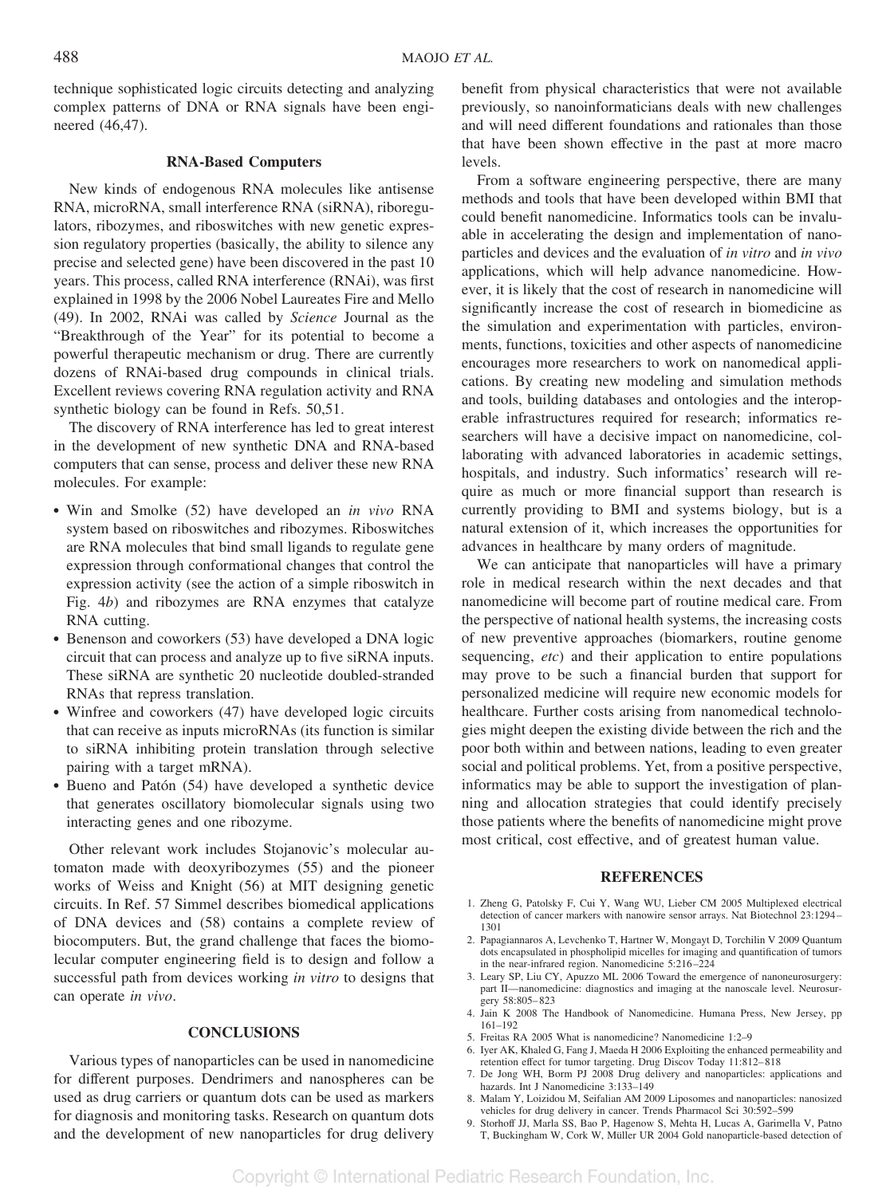technique sophisticated logic circuits detecting and analyzing complex patterns of DNA or RNA signals have been engineered (46,47).

#### **RNA-Based Computers**

New kinds of endogenous RNA molecules like antisense RNA, microRNA, small interference RNA (siRNA), riboregulators, ribozymes, and riboswitches with new genetic expression regulatory properties (basically, the ability to silence any precise and selected gene) have been discovered in the past 10 years. This process, called RNA interference (RNAi), was first explained in 1998 by the 2006 Nobel Laureates Fire and Mello (49). In 2002, RNAi was called by *Science* Journal as the "Breakthrough of the Year" for its potential to become a powerful therapeutic mechanism or drug. There are currently dozens of RNAi-based drug compounds in clinical trials. Excellent reviews covering RNA regulation activity and RNA synthetic biology can be found in Refs. 50,51.

The discovery of RNA interference has led to great interest in the development of new synthetic DNA and RNA-based computers that can sense, process and deliver these new RNA molecules. For example:

- Win and Smolke (52) have developed an *in vivo* RNA system based on riboswitches and ribozymes. Riboswitches are RNA molecules that bind small ligands to regulate gene expression through conformational changes that control the expression activity (see the action of a simple riboswitch in Fig. 4*b*) and ribozymes are RNA enzymes that catalyze RNA cutting.
- Benenson and coworkers (53) have developed a DNA logic circuit that can process and analyze up to five siRNA inputs. These siRNA are synthetic 20 nucleotide doubled-stranded RNAs that repress translation.
- Winfree and coworkers (47) have developed logic circuits that can receive as inputs microRNAs (its function is similar to siRNA inhibiting protein translation through selective pairing with a target mRNA).
- Bueno and Patón (54) have developed a synthetic device that generates oscillatory biomolecular signals using two interacting genes and one ribozyme.

Other relevant work includes Stojanovic's molecular automaton made with deoxyribozymes (55) and the pioneer works of Weiss and Knight (56) at MIT designing genetic circuits. In Ref. 57 Simmel describes biomedical applications of DNA devices and (58) contains a complete review of biocomputers. But, the grand challenge that faces the biomolecular computer engineering field is to design and follow a successful path from devices working *in vitro* to designs that can operate *in vivo*.

### **CONCLUSIONS**

Various types of nanoparticles can be used in nanomedicine for different purposes. Dendrimers and nanospheres can be used as drug carriers or quantum dots can be used as markers for diagnosis and monitoring tasks. Research on quantum dots and the development of new nanoparticles for drug delivery benefit from physical characteristics that were not available previously, so nanoinformaticians deals with new challenges and will need different foundations and rationales than those that have been shown effective in the past at more macro levels.

From a software engineering perspective, there are many methods and tools that have been developed within BMI that could benefit nanomedicine. Informatics tools can be invaluable in accelerating the design and implementation of nanoparticles and devices and the evaluation of *in vitro* and *in vivo* applications, which will help advance nanomedicine. However, it is likely that the cost of research in nanomedicine will significantly increase the cost of research in biomedicine as the simulation and experimentation with particles, environments, functions, toxicities and other aspects of nanomedicine encourages more researchers to work on nanomedical applications. By creating new modeling and simulation methods and tools, building databases and ontologies and the interoperable infrastructures required for research; informatics researchers will have a decisive impact on nanomedicine, collaborating with advanced laboratories in academic settings, hospitals, and industry. Such informatics' research will require as much or more financial support than research is currently providing to BMI and systems biology, but is a natural extension of it, which increases the opportunities for advances in healthcare by many orders of magnitude.

We can anticipate that nanoparticles will have a primary role in medical research within the next decades and that nanomedicine will become part of routine medical care. From the perspective of national health systems, the increasing costs of new preventive approaches (biomarkers, routine genome sequencing, *etc*) and their application to entire populations may prove to be such a financial burden that support for personalized medicine will require new economic models for healthcare. Further costs arising from nanomedical technologies might deepen the existing divide between the rich and the poor both within and between nations, leading to even greater social and political problems. Yet, from a positive perspective, informatics may be able to support the investigation of planning and allocation strategies that could identify precisely those patients where the benefits of nanomedicine might prove most critical, cost effective, and of greatest human value.

## **REFERENCES**

- 1. Zheng G, Patolsky F, Cui Y, Wang WU, Lieber CM 2005 Multiplexed electrical detection of cancer markers with nanowire sensor arrays. Nat Biotechnol 23:1294– 1301
- 2. Papagiannaros A, Levchenko T, Hartner W, Mongayt D, Torchilin V 2009 Quantum dots encapsulated in phospholipid micelles for imaging and quantification of tumors in the near-infrared region. Nanomedicine 5:216–224
- 3. Leary SP, Liu CY, Apuzzo ML 2006 Toward the emergence of nanoneurosurgery: part II—nanomedicine: diagnostics and imaging at the nanoscale level. Neurosurgery 58:805–823
- 4. Jain K 2008 The Handbook of Nanomedicine. Humana Press, New Jersey, pp 161–192
- 5. Freitas RA 2005 What is nanomedicine? Nanomedicine 1:2–9
- 6. Iyer AK, Khaled G, Fang J, Maeda H 2006 Exploiting the enhanced permeability and retention effect for tumor targeting. Drug Discov Today 11:812–818
- 7. De Jong WH, Borm PJ 2008 Drug delivery and nanoparticles: applications and hazards. Int J Nanomedicine 3:133–149
- 8. Malam Y, Loizidou M, Seifalian AM 2009 Liposomes and nanoparticles: nanosized vehicles for drug delivery in cancer. Trends Pharmacol Sci 30:592–599
- 9. Storhoff JJ, Marla SS, Bao P, Hagenow S, Mehta H, Lucas A, Garimella V, Patno T, Buckingham W, Cork W, Müller UR 2004 Gold nanoparticle-based detection of